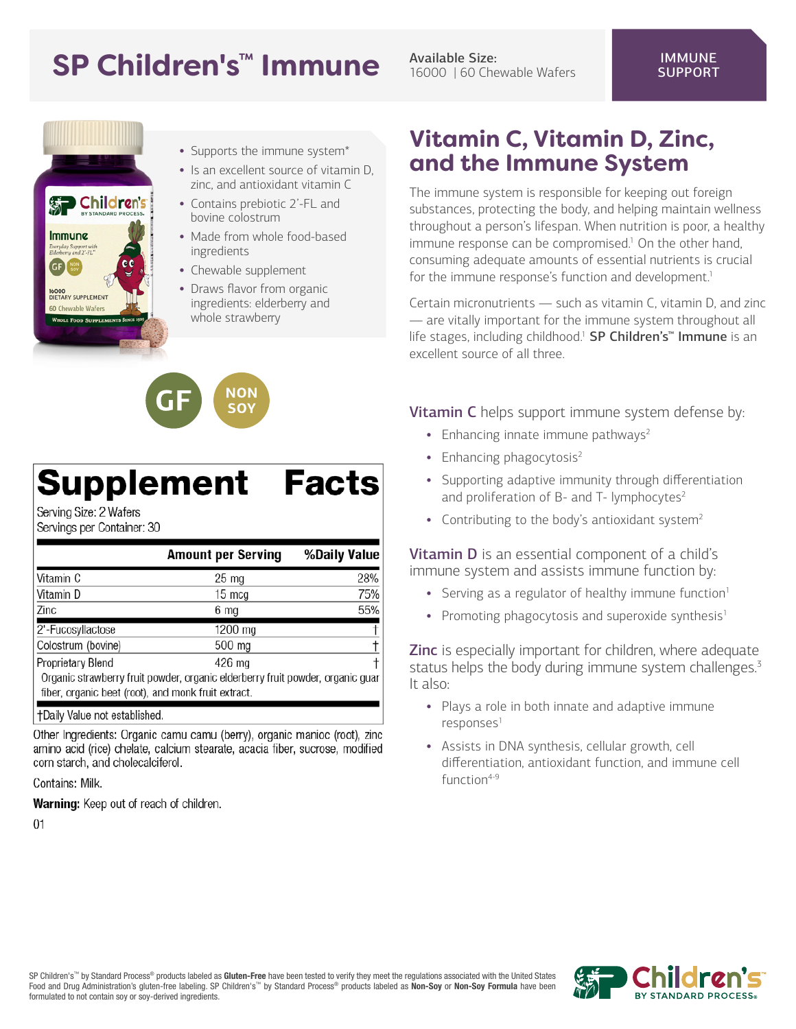## SP Children's<sup>™</sup> Immune Available Size:

16000 | 60 Chewable Wafers



- Supports the immune system\*
- Is an excellent source of vitamin D, zinc, and antioxidant vitamin C
- Contains prebiotic 2'-FL and bovine colostrum
- Made from whole food-based ingredients
- Chewable supplement

**NON SO'** 

• Draws flavor from organic ingredients: elderberry and whole strawberry

# **Supplement Facts**

Serving Size: 2 Wafers Servings per Container: 30

|                                                                                | <b>Amount per Serving</b> | %Daily Value |
|--------------------------------------------------------------------------------|---------------------------|--------------|
| Vitamin C                                                                      | $25 \text{ mg}$           | 28%          |
| Vitamin D                                                                      | 15 mcg                    | 75%          |
| Zinc                                                                           | 6 mg                      | 55%          |
| 2'-Fucosyllactose                                                              | $1200$ mg                 |              |
| Colostrum (bovine)                                                             | 500 mg                    |              |
| Proprietary Blend                                                              | 426 mg                    |              |
| Organic strawberry fruit powder, organic elderberry fruit powder, organic guar |                           |              |
| fiber, organic beet (root), and monk fruit extract.                            |                           |              |

†Daily Value not established.

Other Ingredients: Organic camu camu (berry), organic manioc (root), zinc amino acid (rice) chelate, calcium stearate, acacia fiber, sucrose, modified corn starch, and cholecalciferol.

Contains: Milk.

Warning: Keep out of reach of children.

 $01$ 

#### **Vitamin C, Vitamin D, Zinc, and the Immune System**

The immune system is responsible for keeping out foreign substances, protecting the body, and helping maintain wellness throughout a person's lifespan. When nutrition is poor, a healthy immune response can be compromised.<sup>1</sup> On the other hand, consuming adequate amounts of essential nutrients is crucial for the immune response's function and development.<sup>1</sup>

Certain micronutrients — such as vitamin C, vitamin D, and zinc — are vitally important for the immune system throughout all life stages, including childhood.<sup>1</sup> SP Children's<sup>™</sup> Immune is an excellent source of all three.

**Vitamin C** helps support immune system defense by:

- Enhancing innate immune pathways<sup>2</sup>
- Enhancing phagocytosis<sup>2</sup>
- Supporting adaptive immunity through differentiation and proliferation of B- and T- lymphocytes<sup>2</sup>
- Contributing to the body's antioxidant system<sup>2</sup>

Vitamin D is an essential component of a child's immune system and assists immune function by:

- Serving as a regulator of healthy immune function<sup>1</sup>
- Promoting phagocytosis and superoxide synthesis<sup>1</sup>

**Zinc** is especially important for children, where adequate status helps the body during immune system challenges.<sup>3</sup> It also:

- Plays a role in both innate and adaptive immune responses<sup>1</sup>
- Assists in DNA synthesis, cellular growth, cell differentiation, antioxidant function, and immune cell function<sup>4-9</sup>